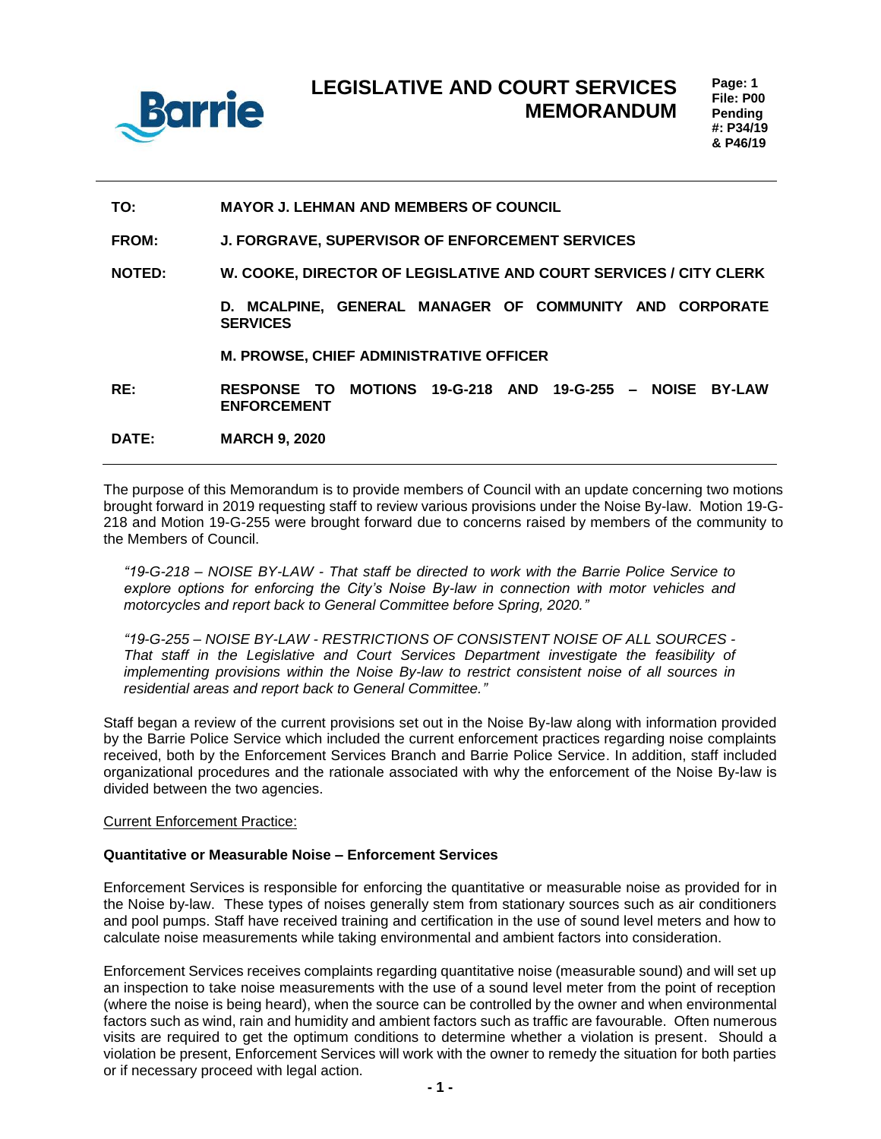

### **TO: MAYOR J. LEHMAN AND MEMBERS OF COUNCIL**

**FROM: J. FORGRAVE, SUPERVISOR OF ENFORCEMENT SERVICES**

**NOTED: W. COOKE, DIRECTOR OF LEGISLATIVE AND COURT SERVICES / CITY CLERK**

**D. MCALPINE, GENERAL MANAGER OF COMMUNITY AND CORPORATE SERVICES**

#### **M. PROWSE, CHIEF ADMINISTRATIVE OFFICER**

**RE: RESPONSE TO MOTIONS 19-G-218 AND 19-G-255 – NOISE BY-LAW ENFORCEMENT** 

**DATE: MARCH 9, 2020**

The purpose of this Memorandum is to provide members of Council with an update concerning two motions brought forward in 2019 requesting staff to review various provisions under the Noise By-law. Motion 19-G-218 and Motion 19-G-255 were brought forward due to concerns raised by members of the community to the Members of Council.

*"19-G-218 – NOISE BY-LAW - That staff be directed to work with the Barrie Police Service to explore options for enforcing the City's Noise By-law in connection with motor vehicles and motorcycles and report back to General Committee before Spring, 2020."*

*"19-G-255 – NOISE BY-LAW - RESTRICTIONS OF CONSISTENT NOISE OF ALL SOURCES - That staff in the Legislative and Court Services Department investigate the feasibility of implementing provisions within the Noise By-law to restrict consistent noise of all sources in residential areas and report back to General Committee."*

Staff began a review of the current provisions set out in the Noise By-law along with information provided by the Barrie Police Service which included the current enforcement practices regarding noise complaints received, both by the Enforcement Services Branch and Barrie Police Service. In addition, staff included organizational procedures and the rationale associated with why the enforcement of the Noise By-law is divided between the two agencies.

## Current Enforcement Practice:

#### **Quantitative or Measurable Noise – Enforcement Services**

Enforcement Services is responsible for enforcing the quantitative or measurable noise as provided for in the Noise by-law. These types of noises generally stem from stationary sources such as air conditioners and pool pumps. Staff have received training and certification in the use of sound level meters and how to calculate noise measurements while taking environmental and ambient factors into consideration.

Enforcement Services receives complaints regarding quantitative noise (measurable sound) and will set up an inspection to take noise measurements with the use of a sound level meter from the point of reception (where the noise is being heard), when the source can be controlled by the owner and when environmental factors such as wind, rain and humidity and ambient factors such as traffic are favourable. Often numerous visits are required to get the optimum conditions to determine whether a violation is present. Should a violation be present, Enforcement Services will work with the owner to remedy the situation for both parties or if necessary proceed with legal action.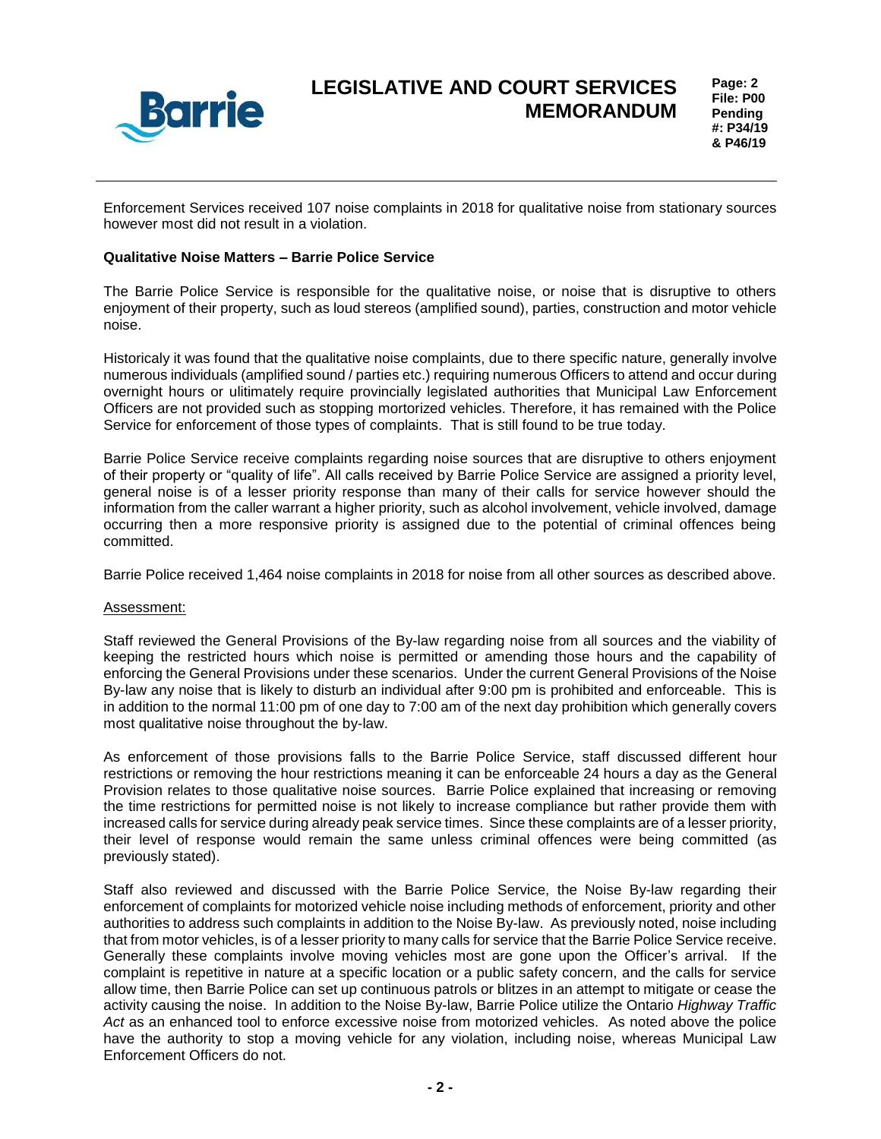

Enforcement Services received 107 noise complaints in 2018 for qualitative noise from stationary sources however most did not result in a violation.

## **Qualitative Noise Matters – Barrie Police Service**

The Barrie Police Service is responsible for the qualitative noise, or noise that is disruptive to others enjoyment of their property, such as loud stereos (amplified sound), parties, construction and motor vehicle noise.

Historicaly it was found that the qualitative noise complaints, due to there specific nature, generally involve numerous individuals (amplified sound / parties etc.) requiring numerous Officers to attend and occur during overnight hours or ulitimately require provincially legislated authorities that Municipal Law Enforcement Officers are not provided such as stopping mortorized vehicles. Therefore, it has remained with the Police Service for enforcement of those types of complaints. That is still found to be true today.

Barrie Police Service receive complaints regarding noise sources that are disruptive to others enjoyment of their property or "quality of life". All calls received by Barrie Police Service are assigned a priority level, general noise is of a lesser priority response than many of their calls for service however should the information from the caller warrant a higher priority, such as alcohol involvement, vehicle involved, damage occurring then a more responsive priority is assigned due to the potential of criminal offences being committed.

Barrie Police received 1,464 noise complaints in 2018 for noise from all other sources as described above.

#### Assessment:

Staff reviewed the General Provisions of the By-law regarding noise from all sources and the viability of keeping the restricted hours which noise is permitted or amending those hours and the capability of enforcing the General Provisions under these scenarios. Under the current General Provisions of the Noise By-law any noise that is likely to disturb an individual after 9:00 pm is prohibited and enforceable. This is in addition to the normal 11:00 pm of one day to 7:00 am of the next day prohibition which generally covers most qualitative noise throughout the by-law.

As enforcement of those provisions falls to the Barrie Police Service, staff discussed different hour restrictions or removing the hour restrictions meaning it can be enforceable 24 hours a day as the General Provision relates to those qualitative noise sources. Barrie Police explained that increasing or removing the time restrictions for permitted noise is not likely to increase compliance but rather provide them with increased calls for service during already peak service times. Since these complaints are of a lesser priority, their level of response would remain the same unless criminal offences were being committed (as previously stated).

Staff also reviewed and discussed with the Barrie Police Service, the Noise By-law regarding their enforcement of complaints for motorized vehicle noise including methods of enforcement, priority and other authorities to address such complaints in addition to the Noise By-law. As previously noted, noise including that from motor vehicles, is of a lesser priority to many calls for service that the Barrie Police Service receive. Generally these complaints involve moving vehicles most are gone upon the Officer's arrival. If the complaint is repetitive in nature at a specific location or a public safety concern, and the calls for service allow time, then Barrie Police can set up continuous patrols or blitzes in an attempt to mitigate or cease the activity causing the noise. In addition to the Noise By-law, Barrie Police utilize the Ontario *Highway Traffic Act* as an enhanced tool to enforce excessive noise from motorized vehicles. As noted above the police have the authority to stop a moving vehicle for any violation, including noise, whereas Municipal Law Enforcement Officers do not.